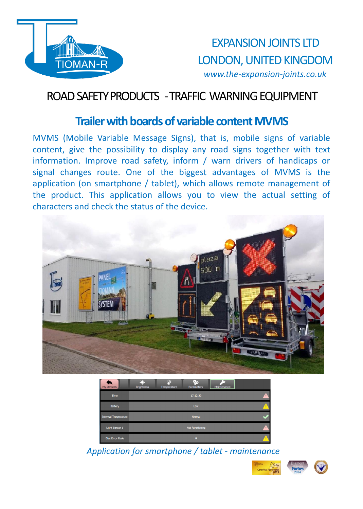

## ROAD SAFETY PRODUCTS -TRAFFIC WARNINGEQUIPMENT

#### **Trailer with boards of variable content MVMS**

MVMS (Mobile Variable Message Signs), that is, mobile signs of variable content, give the possibility to display any road signs together with text information. Improve road safety, inform / warn drivers of handicaps or signal changes route. One of the biggest advantages of MVMS is the application (on smartphone / tablet), which allows remote management of the product. This application allows you to view the actual setting of characters and check the status of the device.



| My Devices                  | 52.6<br>ΩE<br>ęь<br><b>Brightness</b><br>Temperature<br><b>Parameters</b> | Maintenance |
|-----------------------------|---------------------------------------------------------------------------|-------------|
| <b>Time</b>                 | 17:12:20                                                                  |             |
| Battery                     | Low                                                                       |             |
| <b>Internal Temperature</b> | Normal                                                                    |             |
| Light Sensor 1              | Not Functioning                                                           |             |
| <b>Disc Error Code</b>      | $\mathbf{a}$                                                              |             |

*Application for smartphone / tablet - maintenance*

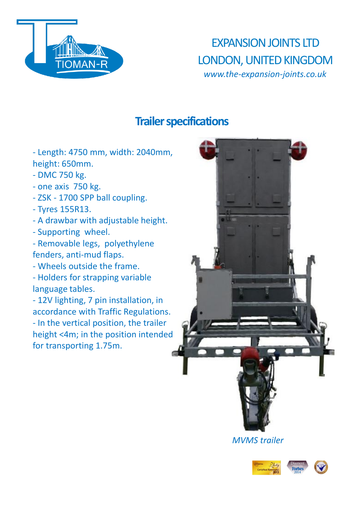

## **Trailer specifications**

- Length: 4750 mm, width: 2040mm, height: 650mm.

- DMC 750 kg.
- one axis 750 kg.
- ZSK 1700 SPP ball coupling.
- Tyres 155R13.
- A drawbar with adjustable height.
- Supporting wheel.

- Removable legs, polyethylene fenders, anti-mud flaps.

- Wheels outside the frame.

- Holders for strapping variable language tables.

- 12V lighting, 7 pin installation, in accordance with Traffic Regulations. - In the vertical position, the trailer height <4m; in the position intended for transporting 1.75m.



*MVMS trailer*

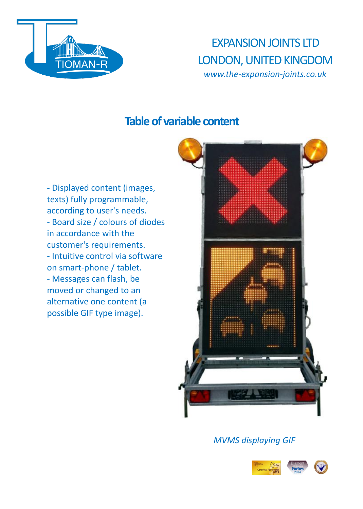

#### **Table of variable content**

- Displayed content (images, texts) fully programmable, according to user's needs. - Board size / colours of diodes in accordance with the customer's requirements. - Intuitive control via software on smart-phone / tablet. - Messages can flash, be moved or changed to an alternative one content (a possible GIF type image).



*MVMS displaying GIF*

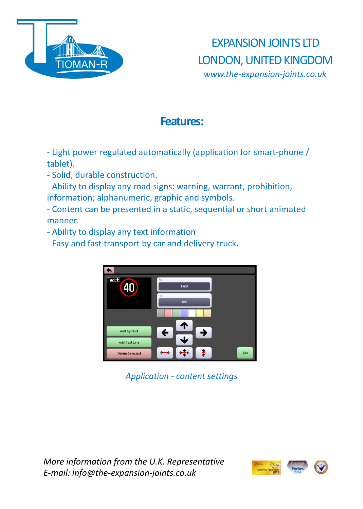

## **Features:**

- Light power regulated automatically (application for smart-phone / tablet).

- Solid, durable construction.

- Ability to display any road signs: warning, warrant, prohibition, information; alphanumeric, graphic and symbols.

- Content can be presented in a static, sequential or short animated manner.

- Ability to display any text information
- Easy and fast transport by car and delivery truck.



*Application - content settings*

*More information from the U.K. Representative E-mail: info@the-expansion-joints.co.uk*